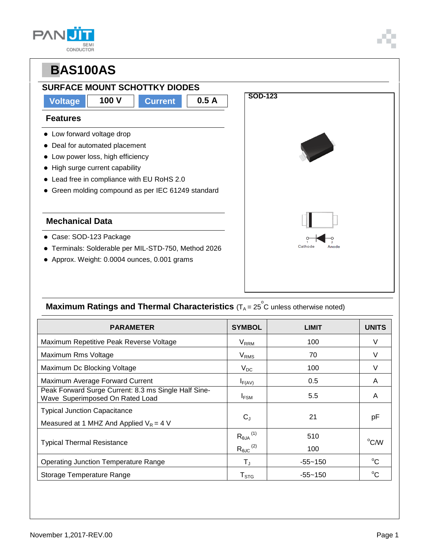| SEM <sup>1</sup><br>CONDUCTOR |
|-------------------------------|



### **Maximum Ratings and Thermal Characteristics** (T<sub>A</sub> = 25<sup>°</sup>C unless otherwise noted)

| <b>PARAMETER</b>                                                                        | <b>SYMBOL</b>                                           | <b>LIMIT</b> | <b>UNITS</b> |
|-----------------------------------------------------------------------------------------|---------------------------------------------------------|--------------|--------------|
| Maximum Repetitive Peak Reverse Voltage                                                 | <b>V<sub>RRM</sub></b>                                  | 100          | V            |
| Maximum Rms Voltage                                                                     | $V_{RMS}$                                               | 70           |              |
| Maximum Dc Blocking Voltage                                                             | $V_{DC}$                                                | 100          | V            |
| Maximum Average Forward Current                                                         | $I_{F(AV)}$                                             | 0.5          | A            |
| Peak Forward Surge Current: 8.3 ms Single Half Sine-<br>Wave Superimposed On Rated Load | I <sub>FSM</sub>                                        | 5.5          | A            |
| <b>Typical Junction Capacitance</b><br>Measured at 1 MHZ And Applied $V_R = 4$ V        | $C_{J}$                                                 | 21           | рF           |
| <b>Typical Thermal Resistance</b>                                                       | $R_{\theta$ JA $^{(1)}$<br>$R_{\theta \text{JC}}^{(2)}$ | 510<br>100   | °C/W         |
| <b>Operating Junction Temperature Range</b>                                             | $T_{\rm J}$                                             | $-55 - 150$  | $^{\circ}C$  |
| Storage Temperature Range                                                               | ${\sf T}_{\text{STG}}$                                  | $-55 - 150$  | $^{\circ}C$  |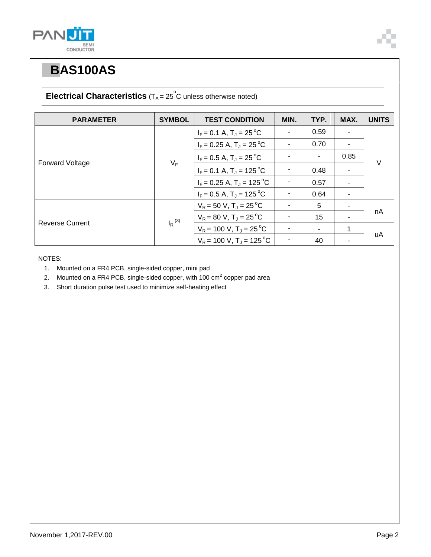



#### **Electrical Characteristics**  $(T_A = 25^\circ \text{C}$  unless otherwise noted)

| <b>PARAMETER</b>       | <b>SYMBOL</b> | <b>TEST CONDITION</b>                  | MIN. | TYP. | MAX. | <b>UNITS</b> |
|------------------------|---------------|----------------------------------------|------|------|------|--------------|
| <b>Forward Voltage</b> | $V_F$         | $I_F = 0.1 A$ , $T_J = 25^{\circ}C$    |      | 0.59 |      | $\vee$       |
|                        |               | $I_F = 0.25$ A, $T_J = 25$ °C          |      | 0.70 |      |              |
|                        |               | $I_F = 0.5 A$ , $T_J = 25 °C$          |      | -    | 0.85 |              |
|                        |               | $I_F = 0.1 A$ , $T_J = 125 °C$         |      | 0.48 |      |              |
|                        |               | $I_F = 0.25$ A, $T_J = 125$ °C         |      | 0.57 | ۰    |              |
|                        |               | $I_F = 0.5 A$ , $T_J = 125 \degree C$  |      | 0.64 |      |              |
| <b>Reverse Current</b> | $I_R^{(3)}$   | $V_R$ = 50 V, T <sub>J</sub> = 25 °C   |      | 5    |      |              |
|                        |               | $V_R = 80 V$ , $T_J = 25 °C$           |      | 15   |      | nA           |
|                        |               | $V_R$ = 100 V, T <sub>J</sub> = 25 °C  |      |      | 1    |              |
|                        |               | $V_R$ = 100 V, T <sub>J</sub> = 125 °C |      | 40   |      | uA           |

NOTES:

- 1. Mounted on a FR4 PCB, single-sided copper, mini pad
- 2. Mounted on a FR4 PCB, single-sided copper, with 100 cm<sup>2</sup> copper pad area
- 3. Short duration pulse test used to minimize self-heating effect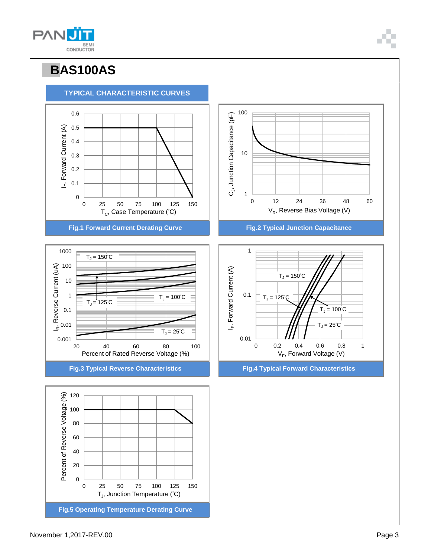

100



# **PBAS100AS**

**TYPICAL CHARACTERISTIC CURVES**

**PANU** SEMI<br>CONDUCTOR

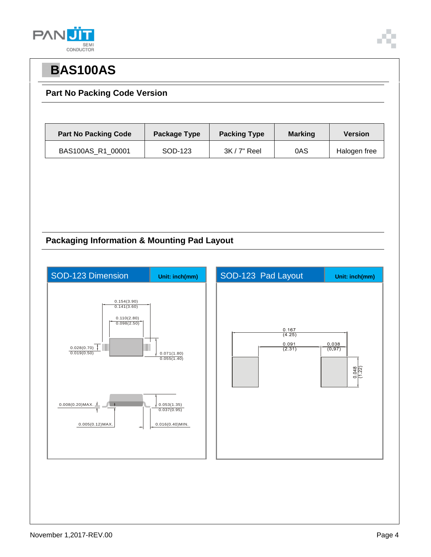



#### **Part No Packing Code Version**

| <b>Part No Packing Code</b> | Package Type | <b>Packing Type</b> | <b>Marking</b> | <b>Version</b> |
|-----------------------------|--------------|---------------------|----------------|----------------|
| BAS100AS R1 00001           | SOD-123      | $3K/7"$ Reel        | 0AS            | Halogen free   |

#### **Packaging Information & Mounting Pad Layout**